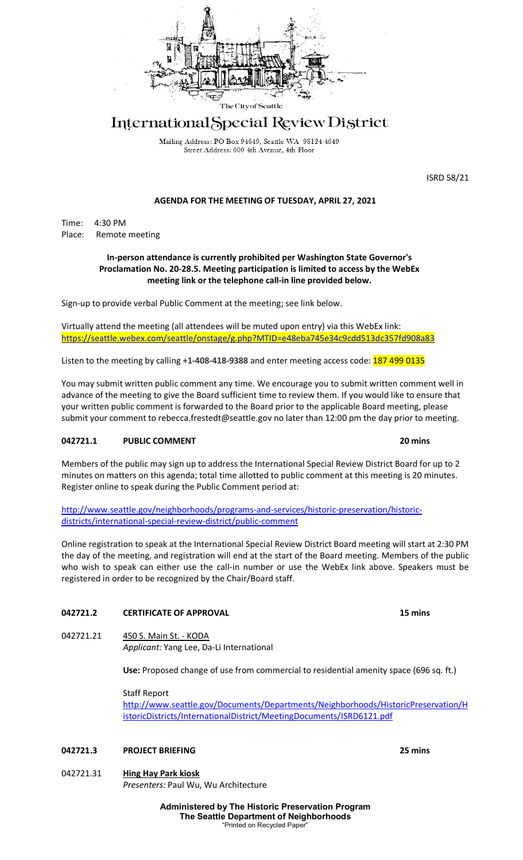

# International Special Review District

Mailing Address: PO Box 94649, Seattle WA 98124-4649 Street Address: 600 4th Avenue, 4th Floor

ISRD 58/21

# **AGENDA FOR THE MEETING OF TUESDAY, APRIL 27, 2021**

Time: 4:30 PM Place: Remote meeting

#### **In-person attendance is currently prohibited per Washington State Governor's Proclamation No. 20-28.5. Meeting participation is limited to access by the WebEx meeting link or the telephone call-in line provided below.**

Sign-up to provide verbal Public Comment at the meeting; see link below.

Virtually attend the meeting (all attendees will be muted upon entry) via this WebEx link[:](https://seattle.webex.com/seattle/onstage/g.php?MTID=e48eba745e34c9cdd513dc357fd908a83) <https://seattle.webex.com/seattle/onstage/g.php?MTID=e48eba745e34c9cdd513dc357fd908a83>

Listen to the meeting by calling +1-408-418-9388 and enter meeting access code: **187 499 0135** 

You may submit written public comment any time. We encourage you to submit written comment well in advance of the meeting to give the Board sufficient time to review them. If you would like to ensure that your written public comment is forwarded to the Board prior to the applicable Board meeting, please submit your comment to rebecca.frestedt@seattle.gov no later than 12:00 pm the day prior to meeting.

### **042721.1 PUBLIC COMMENT 20 mins**

Members of the public may sign up to address the International Special Review District Board for up to 2 minutes on matters on this agenda; total time allotted to public comment at this meeting is 20 minutes. Register online to speak during the Public Comment period at:

[http://www.seattle.gov/neighborhoods/programs-and-services/historic-preservation/historic](http://www.seattle.gov/neighborhoods/programs-and-services/historic-preservation/historic-districts/international-special-review-district/public-comment)[districts/international-special-review-district/public-comment](http://www.seattle.gov/neighborhoods/programs-and-services/historic-preservation/historic-districts/international-special-review-district/public-comment)

Online registration to speak at the International Special Review District Board meeting will start at 2:30 PM the day of the meeting, and registration will end at the start of the Board meeting. Members of the public who wish to speak can either use the call-in number or use the WebEx link above. Speakers must be registered in order to be recognized by the Chair/Board staff.

### **042721.2 CERTIFICATE OF APPROVAL 15 mins**

042721.21 450 S. Main St. - KODA *Applicant:* Yang Lee, Da-Li International

**Use:** Proposed change of use from commercial to residential amenity space (696 sq. ft.)

Staff Report [http://www.seattle.gov/Documents/Departments/Neighborhoods/HistoricPreservation/H](http://www.seattle.gov/Documents/Departments/Neighborhoods/HistoricPreservation/HistoricDistricts/InternationalDistrict/MeetingDocuments/ISRD6121.pdf) [istoricDistricts/InternationalDistrict/MeetingDocuments/ISRD6121.pdf](http://www.seattle.gov/Documents/Departments/Neighborhoods/HistoricPreservation/HistoricDistricts/InternationalDistrict/MeetingDocuments/ISRD6121.pdf)

# **042721.3 PROJECT BRIEFING 25 mins**

042721.31 **Hing Hay Park kiosk** *Presenters:* Paul Wu, Wu Architecture